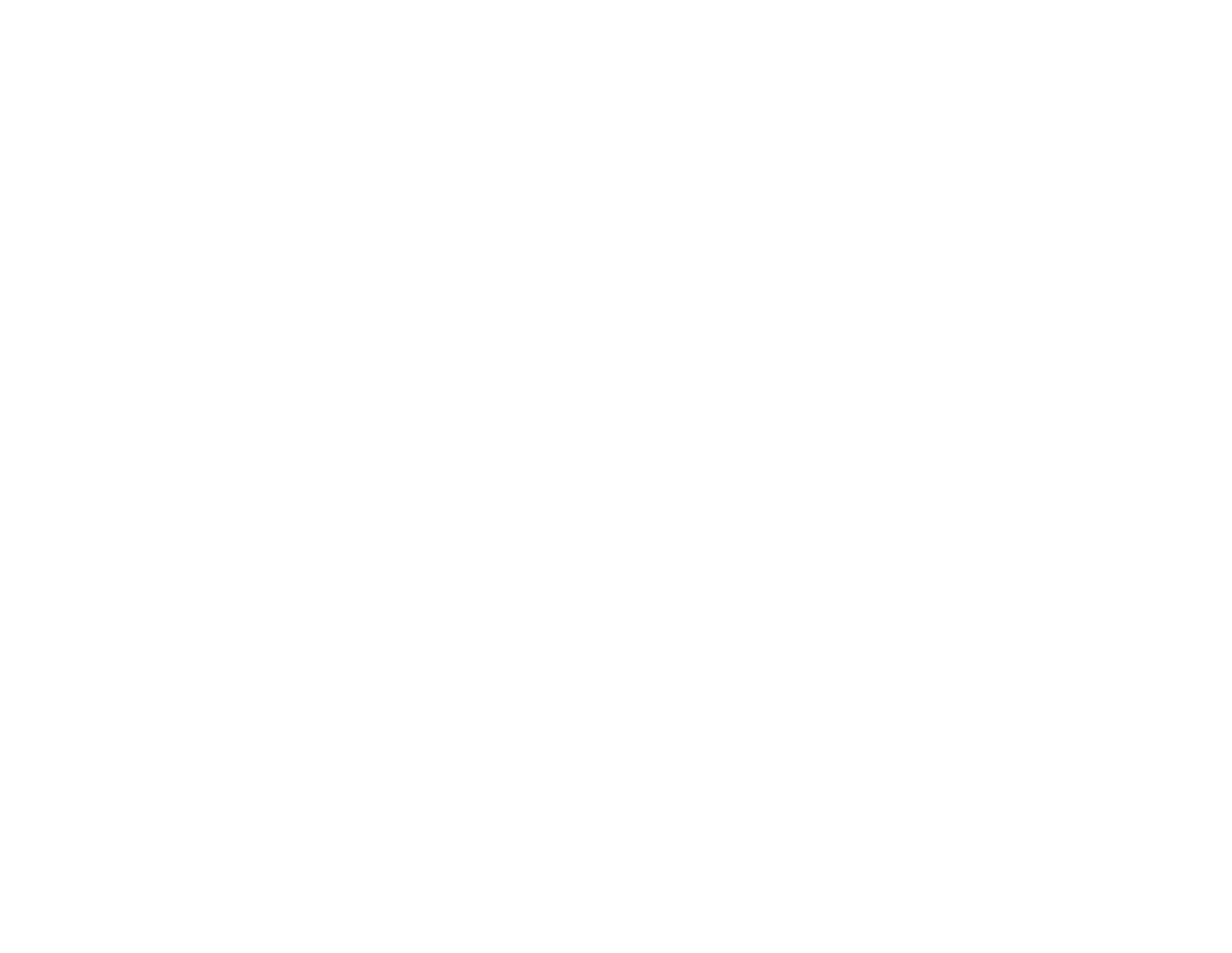



January 31, 2022

Paul Lauer, Peters Township Manager 610 East McMurray Road McMurray, Pennsylvania 15317

Mr. Lauer,

It is my pleasure to present the Peters Township Police Department (PTPD) 2021 Annual Report. This report contains an overview and analysis of the various functions and responsibilities of the men and women of this Department during 2021.

The year presented significant challenges for law enforcement across the country, and we were no exception. Once again COVID presented challenges to our day-to-day operations and impacted officers and their families in many ways. However, unlike 2020 we did not see the extensive lockdowns and shuttering of businesses, churches, and travel to the same extent. Perhaps the greatest impact of the virus was to our police training opportunities. Not unlike 2020, through it all, we responded to every call for service, met every accreditation requirement and exceeded our Mandatory Inservice Training requirements. In addition, we continued to collect proofs of compliance, conduct policy reviews, and perform routine inspections on the property room and various equipment in accordance with best practices and accreditation standards. Maintaining our status as an accredited agency is a notable accomplishment that requires the continued buy-in of every officer of the Department.

In 2021, we saw the departure of Officer William Woods, Sergeant Matthew Collins, and for a brief time Corporal Lou Reda. Reda took a leave of absence in April 2021 forfeiting his full-time status and his rank in pursuit of an unsuccessful bid to become the Washington County Sheriff. Following the election results Reda was re-hired, albeit as a part-time officer. In our efforts to fill our vacancies we hired Officer Austin Kline and Nicole Merrick. In addition, we hired Mathew Malloy; however, due to our inability to train three new officers at one time, Malloy's start date was delayed until January 2022.

An essential element of the professional development of our officers includes training and education. Despite the impact of COVID-19 we were able to maintain a high level of training for our officers in 2021. Each year we strive to provide 80 hours of professional development/training for each officer. This is well above the 12 hours of mandatory training required by Act 120 for municipal police officers. This goal is significant and ensures our officers are well trained and we consistently exceed the minimum training requirements. In 2021 we enlisted four officers into the FBI Law Enforcement Executive Development Association (LEEDA) Trilogy of Leadership courses. The first of which began in November. These training accomplishments highlight the importance placed on leadership development and next level thinking in our training approach. Looking forward into 2022 we plan to continue the development of our officers as we seek higher levels of training and professional development in support of our overall mission to provide professional police services to our community.

The administrative structure of the Department continues to enable strong direction and accountability of all Department members as we strive to achieve our goals and objectives. From a training and preparedness perspective, we continue to refine the Department goals and objectives. Based on our structure as a learning and development agency we are better prepared to respond to the needs of this Community. This approach includes our Tactical training, Community Policing efforts, an aggressive officer training and development program and hiring initiatives that stress experience and training. While we continue to strive for high levels of tactical training, we also realize that our role is more heavily focused on strong public service and community relations. Striking the proper balance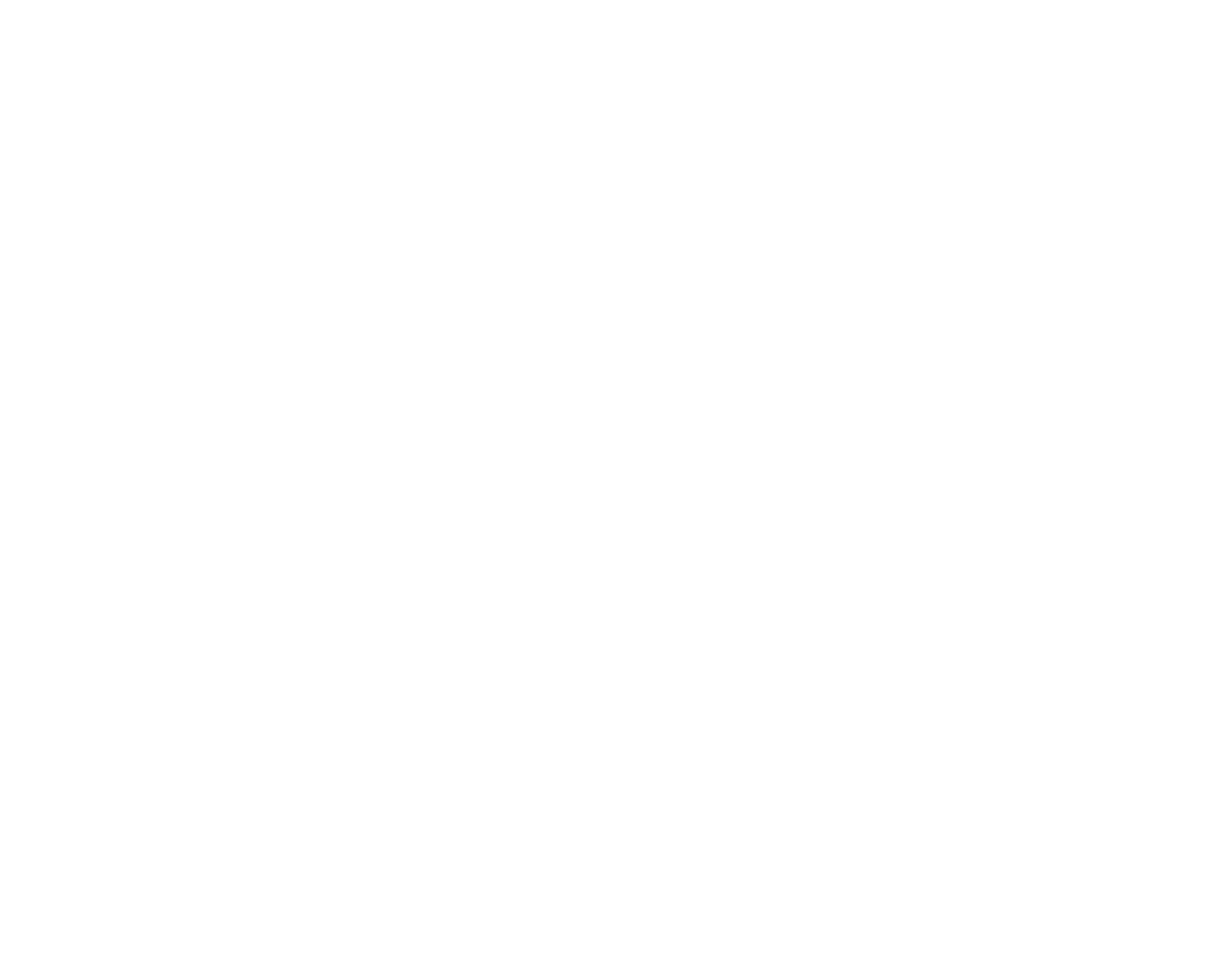



between public service and tactical awareness is a complex undertaking; hover, it is absolutely necessary in today's policing.

Throughout 2021, we relied heavily on the versatility of the Police Officer Scheduling System (POSS) for the day-to-day scheduling, analysis of manpower needs, and officer leave issues. In 2021, we struggled to maintain our staffing goals partly due to COVID and partly due to the new Collective Bargaining Agreement agreed upon in 2020.

Looking forward to 2022, we will continue to institute changes to the day-to-day business processes and infrastructure of the Department that support the development of personnel, policies, and procedures. To better manage supervisory interactions and documentation we purchased the Guardian tracking system in 2021. This system better collates supervisory interaction between officers and their supervisors and provide an early warning notice should an officer display frequent conduct deemed detrimental to their wellbeing or the public. Moreover, we will continue to use Power DMS to manage training and policy review, PoliceOne Training Academy courses for education, PAVTN and Municipal Police Officers' Education and Training Commission (MPOETC) Mandatory In-Service Training (MIST) courses, as well as our own in-house training courses for officer development. As a matter of practice, we will continue to review our policies and procedures to ensure we apply the best practices and professional services for this Community.

Every can take solace in the commitment of this agencies commitment to treating our citizens with courtesy, professionalism, and respect, while impartially enforcing the ordinances of Peters Township and the laws of this Commonwealth. We remain steadfast in this commitment through the deterrence of criminal activity and the relentless pursuit of justice.

Finally, I would like to thank the residents and businesspeople of this community. While 2021 was certainly another taxing year in many ways, it was particularly strenuous for law enforcement. In 2021 a record number of police officers died in the line of duty. Throughout the pandemic and periods of unrest in our Nation, our officers continued to come to work every day and answer every call for service. Each officer did this because of a sense of duty and a commitment to protect and serve this community. The residents and business members of this Community continue to greet our officers with encouragement and various expressions of appreciation for their efforts. The instances of heartfelt encouragement and acts of kindness demonstrated by so many of you is greatly appreciated by every officer of this Department. Thank you!

> **Douglas E. Grimes** Chief of Police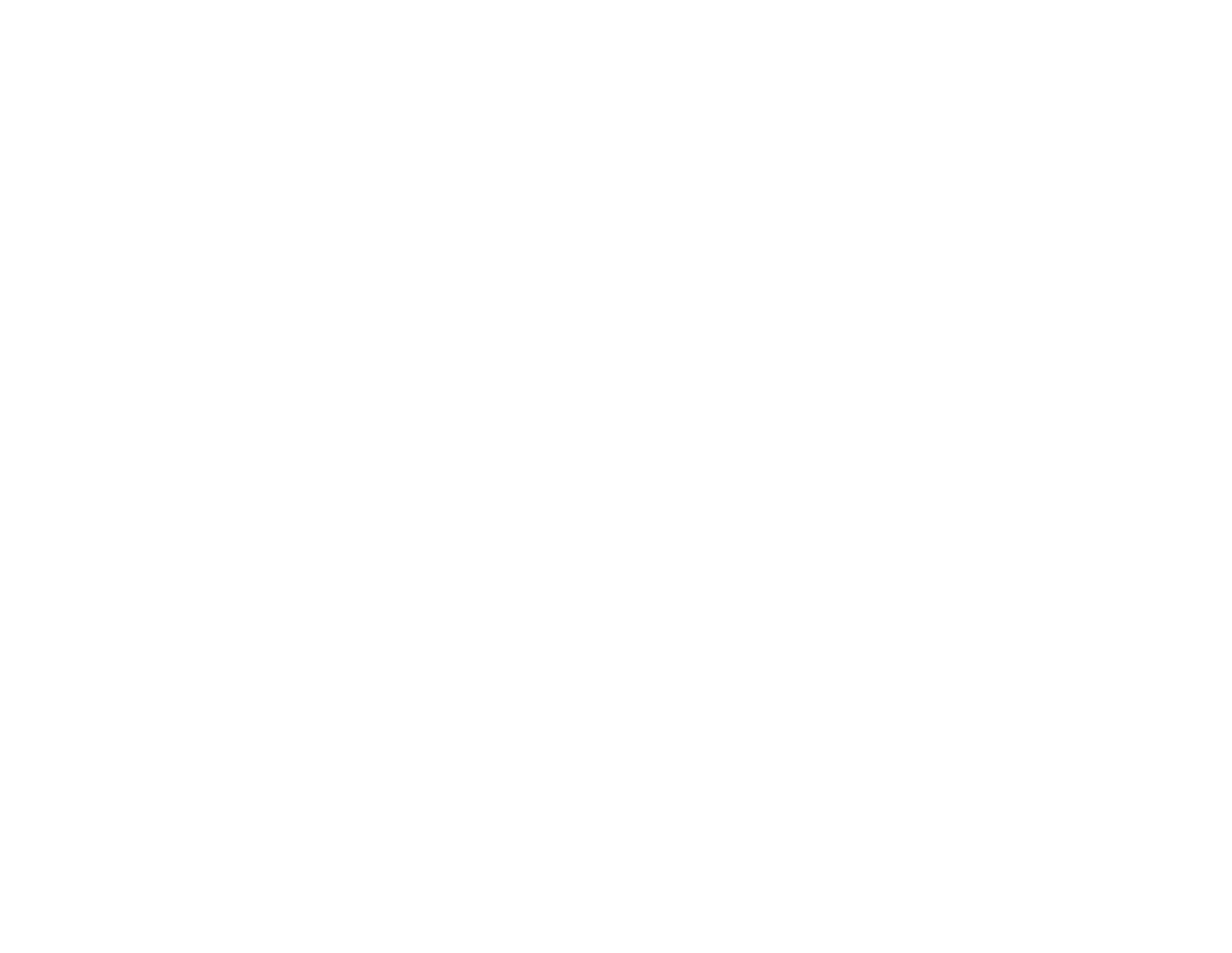





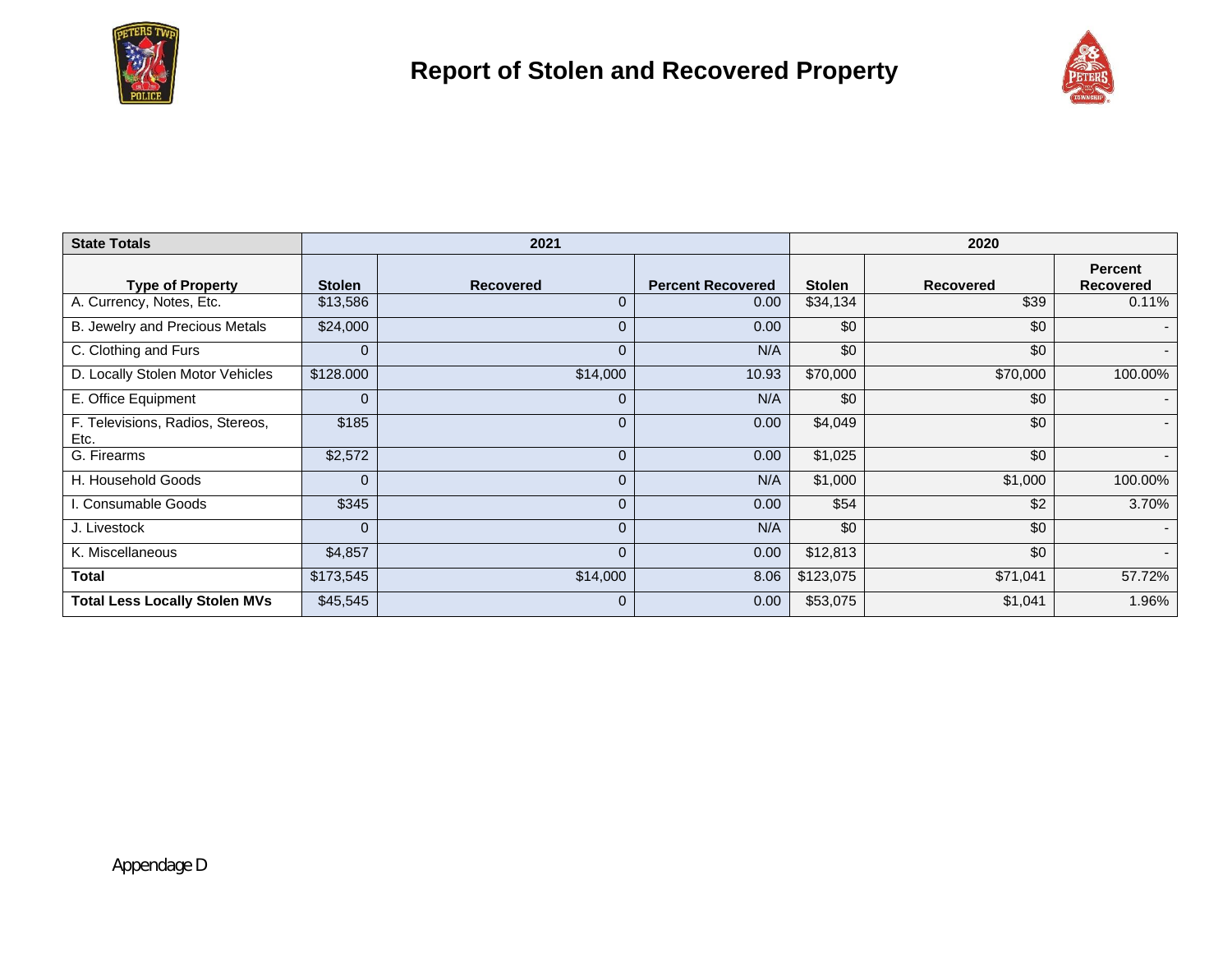



# **PETERS TOWNSHIP POLICE DEPARTMENT**

## **MISSION STATEMENT**

*The mission of the Peters Township Police Department is to enhance the quality of life in Peters Township by working in partnership with our community to enforce the law, preserve peace, reduce fear, and maintain order. The Department is committed to accomplishing this mission through the protection of life and property, for all citizens, by treating every citizen with courtesy, professionalism, and respect while enforcing the laws impartially, fighting crime through deterrence, and the relentless pursuit of criminals.*

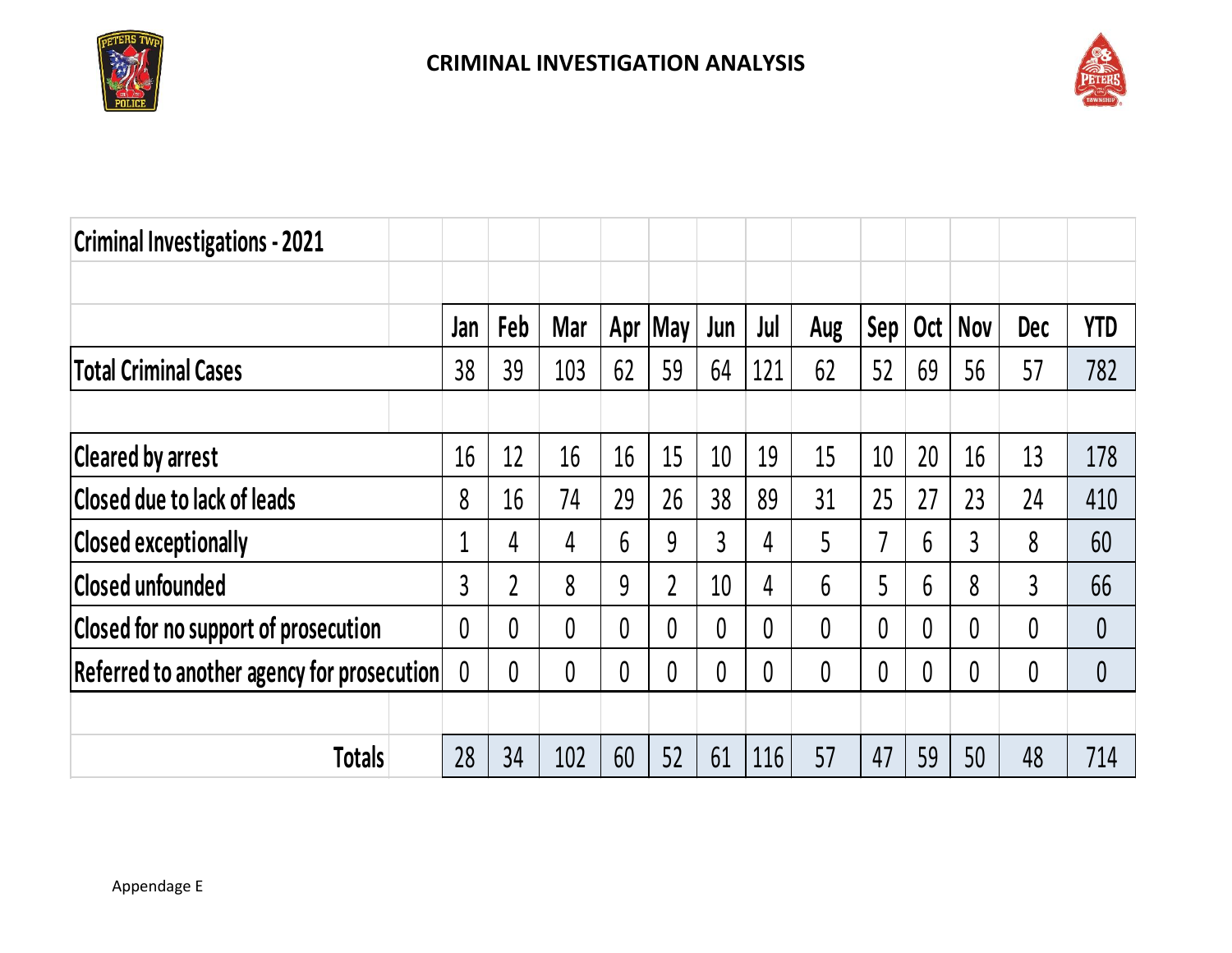



### **ACCREDITATION**

In 2021, the PTPD maintained our accreditation from the Pennsylvania Law Enforcement Accreditation Commission (PLEAC). This process required us to continue to demonstrate compliance with all PLEAC standards. This process involved the review and assessment of all policies to ensure compliance and the recording of proofs of compliance where applicable. This is only possible with the total "buy-in" and assistance of essentially every employee of the Department. This accomplishment places the Department among 1 of 134 out of approximately 1,100 police departments in Pennsylvania as having met this standard of professionalism and performance.

The continued accreditation status will require on-site inspections every three years performed by PLEAC assigned assessors to observe compliance proofs for each of the standards outlined in the accreditation standards manual. In 2022 we will undergo the first of the re-accreditation cycles that will require proofs of compliance with each of the standards. Moreover, our policies and procedures will be analyzed by neutral assessors to ensure we have maintained consistent application with National best practices and PLEAC standards.

This continuous process of developing proofs and reviewing policy will be performed on a regular basis by the men and women of the Peters Township Police Department each year. Every employee of the Department plays a major role in this achievement and should take great pride in maintaining this distinction.

### **GENERAL ANALYSIS**

Analysis of Part I and Part II Uniform Crime Reporting (UCR) data for Peters Township reveals 111 Part I offenses and 549 Part II offenses in 2021. An analysis of our Records Management System (In-Synch) reveals there were a total of 782 investigations in 2021 **(Appendage E).** This number would include all criminal investigations conducted by the PTPD plus hit-and-run traffic crashes, ordinance violations and other investigations not meeting the FBI UCR criteria for measurement. Overall, this results in an average of almost 65 investigations being conducted each month. Of those investigations, 178 were cleared by the arrest of one (1) or more persons. There were additional investigations cleared by "Exceptional" means. Exceptional clearances is a category defined by the FBI UCR rules that allows for the clearance of an investigation when; the identity of the offender is known, there is enough information to support an arrest, and the location of the offender is known, but no criminal charges are filed in the case. One common example of this type of case occurs when the victim no longer wants to cooperate in the prosecution of the offender. In 2021, there were 60 such cases closed under the "Exceptional" clearance category even though the persons responsible were identified and could have been charged. Additionally, there were 66 cases closed as "Unfounded," meaning the reported offense was false or baseless and there was no proof a crime occurred as initially reported. Each of these variables determine the clearance rate of the Department's criminal investigations. Based upon available UCR data, clearance rates for the PTPD decreased from 47% in 2020 to 27% in 2021. This is a huge decrease. The decrease can be largely attributed to the dramatic increase in fraud cases in 2021. The Department investigated 282 fraud cases in 2021 compared to 83 in 2020. This is a 240% increase in this category alone. By nature of what these crimes are, they are very difficult to solve since the vast majority of them are initiated in another country. Even though a significant level of investigative effort and proactive police work is committed to these cases, very little can be done to clear the case.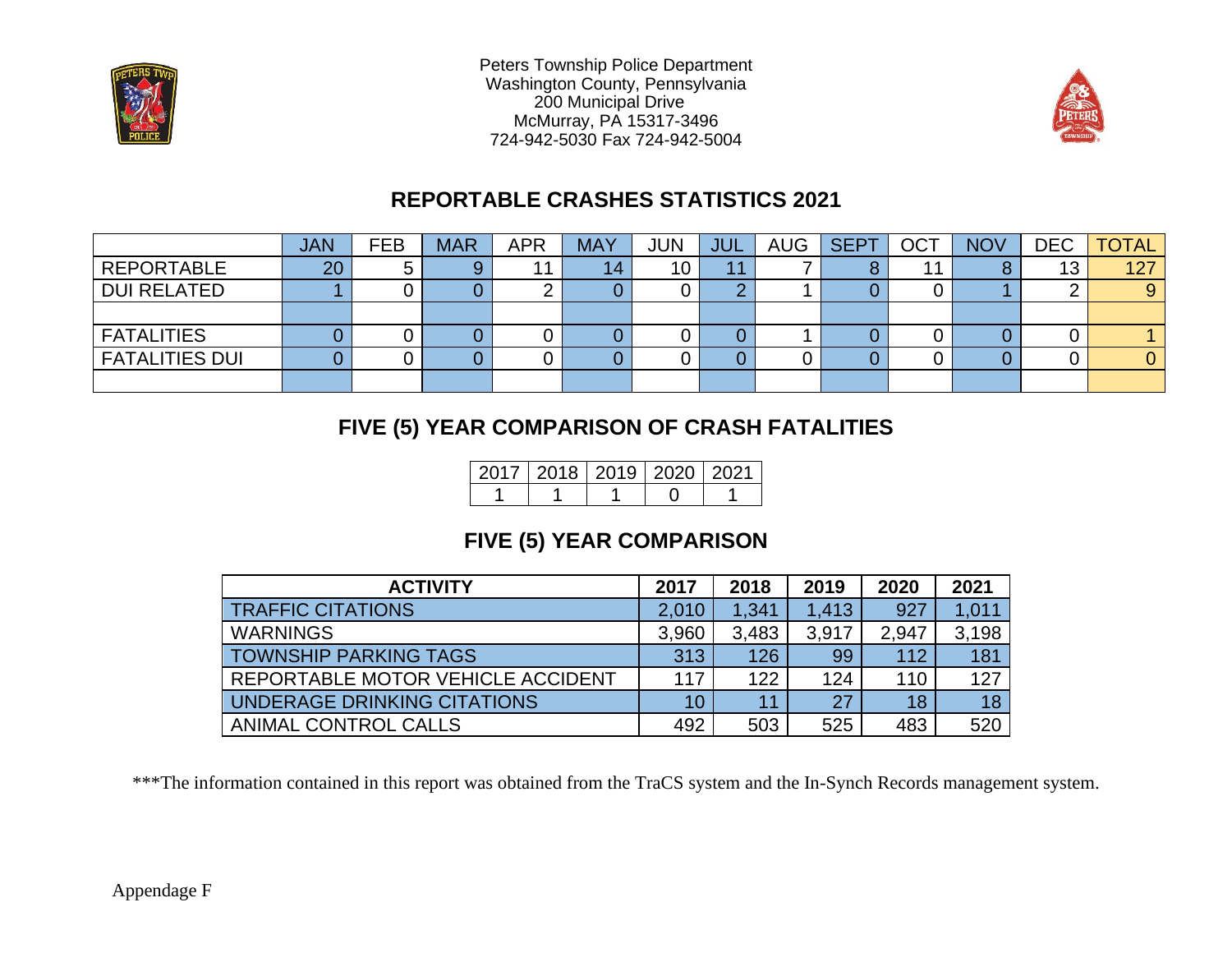



Below is a table showing the Department's clearance rates for comparison over the past three (3) years:

| <b>YEAR</b> | <b>PART I</b> | <b>PART II</b> | <b>COMBINED</b> |
|-------------|---------------|----------------|-----------------|
| 2019        | 29%           | 43%            | 40%             |
| 2020        | 47%           | 47%            | 47%             |
| 2021        | 22%           | 29%            | <b>28%</b>      |

Part I Offenses (**Appendage B**) for 2021 reveals 63 of the offenses reported were classified as property crimes (burglary, larceny theft, motor vehicle theft, and arson) and within that number, 47 incidents were identified as Larceny Thefts.

Further analysis of the UCR submissions reveals 590 Part II Offenses (**Appendage C**) recorded for 2021. This is a significant increase in reported offenses in this category from 2020. The 590 Part II Offenses in 2021 is a 46% increase from the 404 Part II Offenses in 2020. This can be attributed to a significant increase in fraud cases from 83 in 2020 to 281 in 2021. Analysis of Sex Offenses within the Part II category reveals the same number of offenses, 21 for 2021 and 21 for 2020.

Given the continued impact of COVID-19 in 2021, most of the overall numbers of crimes in these categories are within expected norms from previous years. The sole exception is clearly the 70% increase in fraud cases. It is important to note that the increase in Fraud type case (identity theft, fraudulent scams, etc.) has been an ongoing National trend. That said, perspective is important when attempting to analyze the overall number and corresponding statistics. In many instances, the percentage increase/decrease can appear to be much more significant than the actual numbers appear. For example, the increase in Fraud cases dramatically reduced the clearance rate from 47% to 28%. Therefore, the dramatic change in reported fraud cases can be identified as the lone culprit of this change. In virtually every fraud case the victim was refunded any monetary loss they experienced, and the suspect is from out of the country and therefore no further investigation or prosecution is possible. These types of cases are extremely frustrating in that they could be avoided IF the public used precautions when dealing with unknown entities promising something that seems too good to be true.

# **STAFFING**

In 2021, the Department met or exceeded the requirement to maintain three (3) or more patrols on duty 80% of the time. In 2021 there were 730 shifts to staff. Of the 730 shifts, 633 were staffed with three (3) or more officers (**Appendage G**). The overall average of having three (3) or more officers on a shift for 2021 was 85.5%. This was possible, in large part, due to the use of part-time police officers and the efficient application of the POSS Scheduling System. Use of the POSS automated scheduling system allowed us to maintain staffing levels while scheduling 281 training days in 202. Further analysis of the staffing reveals a total of 54.5 sick days were used in 2021, which is down from 93.5 when compared to 2020.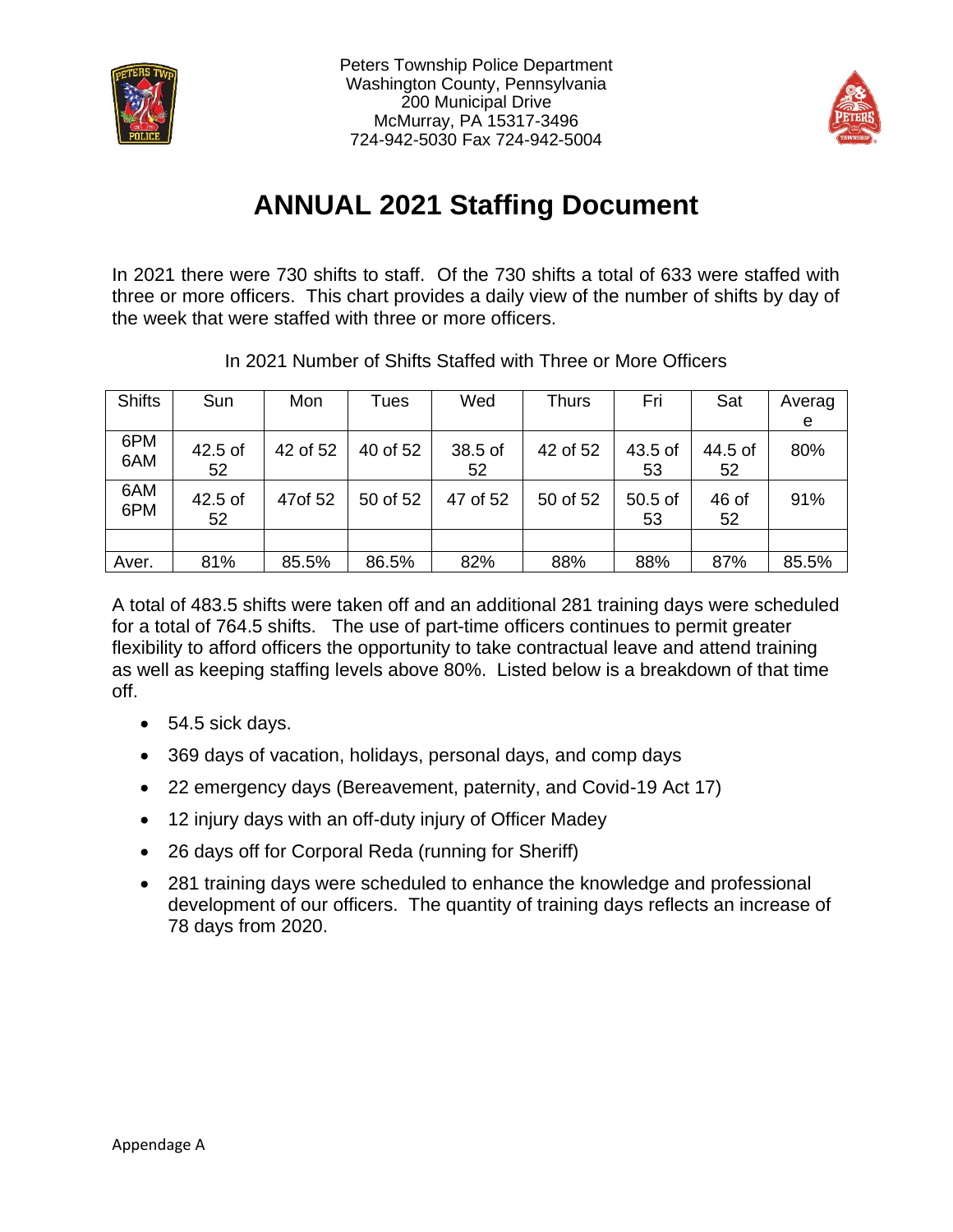



## **CRIMINAL INVESTIGATIONS**

#### **Significant Cases for 2021:**

On January 21, 2021, the Peters Township Police Department (PTPD) was notified of a sexual assault involving a juvenile female and an adult male. Numerous interviews were conducted and as a result, several locations and sexual acts were identified. The investigation was he said/she said until the adult male was interrogated. During the interrogation, the male actor admitted to the sexual assaults against the juvenile female. The adult male was arrested.

On February 1, 2021, the PTPD received a report of a local resident being a victim of an identity theft. The identity theft was perpetrated through Pennsylvania's Pandemic Unemployment Assistance program. The PTPD enlisted the assistance of the Pennsylvania Office of Inspector General – Department of Labor. The PTPD authored several search warrants to identify the actor. As a result, the actor was identified as the victim's mother. The actor had stolen over \$12,000.00 worth of benefits attributed to her daughter. The actor was arrested.

On February 26, 2021, the PTPD became aware that one its officers and a civilian Peters Township employee were victims of an illegal wiretap committed by two Washington County residents. It was discovered that these two individuals operate a YouTube channel wherein they film themselves driving recklessly throughout the Washington and Allegheny County areas. These individuals also actively were seeking out law enforcement officers by goading them into being traffic stopped and subsequently record the interactions. The individuals would upload the police interactions onto their YouTube channel. The illegal recordings involving the PTPD officer and PT civilian were also uploaded to the YouTube channel and viewed by over 4,000 individuals. The PTPD executed a search warrant on the individual's residence to seize their electronic devices. Search warrants were executed on the seized electronic devices and arrest warrants were issued.

On October 21, 2021, an off duty PTPD officer received a telephone call from Peters Township School District Administration about several individuals acting suspiciously at the baseball field behind the old middle school. The PTPD responded and two of the three individuals fled on foot. PTPD established a perimeter and was able to track down the fleeing actors and take them into custody. All three actors, 2 adults and 1 juvenile, were arrested. The juvenile actor was a suspect in numerous vehicle break ins. The juvenile was interviewed and admitted to breaking into numerous vehicles and stealing various items.

On October 24, 2021, the PTPD became aware of a 13-year-old juvenile female sexually assaulting her 6-year-old stepsister. It was discovered the juvenile actor was not only sexually assaulting her stepsister, but she was also filming the acts. The juvenile actor was arrested, and her electronic media devices were seized. Homeland Security Investigations Child Exploitation Unit was contacted and began working simultaneously with the PTPD. Numerous interviews were conducted, and the seized electronic devices were forensically downloaded. It was discovered that the juvenile actor was sending the recorded pornographic images to several adult individuals. At least one of these adults was actively instructing the juvenile actor on what to do with her stepsister. As a result of this investigation, three adult males have been identified. The PTPD and Homeland Security Investigations have been executing search warrants on the social media accounts associated with the three identified actors. Once all the requested information is obtained, this case will be forwarded for both state and federal prosecution.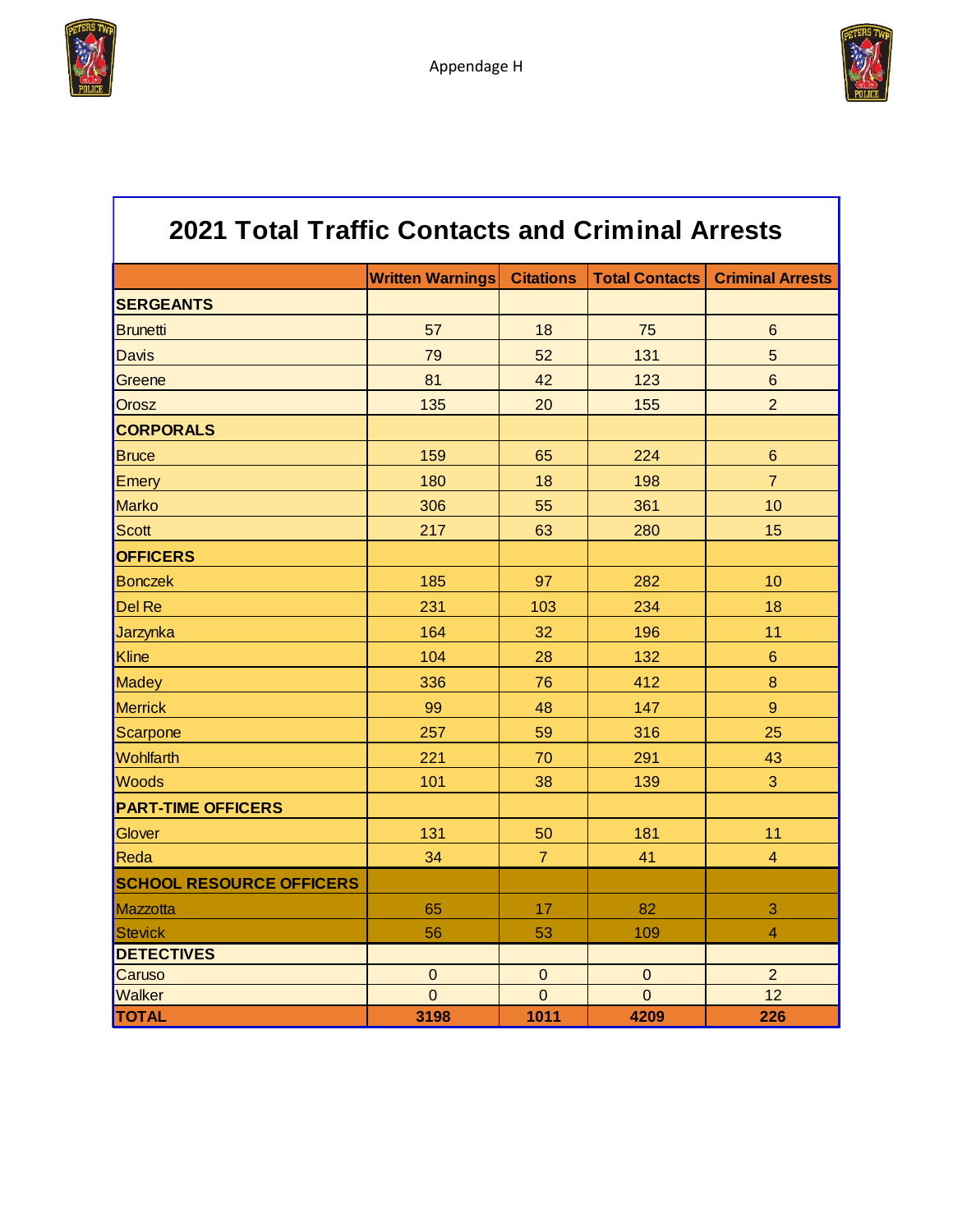



On October 28, 2021, the PTPD received a report of a theft from motor vehicle. The actor had removed several credit/debit cards along with the victim's identification. The actor then used the stolen credit cards to purchase hundreds of dollars' worth of goods from a gas station in Allegheny County. The PTPD obtained video of the illegal transactions and employed the license plate readers in both Washington and Allegheny Counties to identify a suspect vehicle. It was learned that the suspect vehicle was used by an acquaintance of the owner. The PTPD travelled to Finleyville, PA where the suspect vehicle and suspects were located. After consent searches were obtained, several items were located and linked to the stolen credit card purchases. The actor, and his accomplice were both arrested.

### **PROPERTY**

An analysis of the UCR Report of Stolen and recovered property **(Appendage D)** reveals a total stolen property during 2021 of \$173,545 and a recovery of \$14,000 for a net loss of stolen property of \$159,545.

The Property Room (Evidence Room) was inspected on two (2) occasions during 2021. The first inspection was completed in April 2021. This inspection was a full inspection designed to ensure all property was accounted for and stored in proper condition. Discrepancies discovered during inspections are corrected and a reinspection is completed as necessary to ensure compliance with all PLEAC standards and National best practices.

The second inspection was completed in November and was a semi-annual inspection designed to ensure officers were up to date on property destruction/returns related to ongoing and completed investigations. This inspection resulted in a significant effort to return found property, destroy valueless property related to completed cases or when court ordered, and prepare property lists for escheats via the Pennsylvania Treasury Unclaimed Property system in 2022.

Ultimately, in both cases, the Property Room was found to be in good order and the Property Room log was properly maintained consistent with standard best practices and Department policy.

### **INVESTIGATIVE TECHNOLOGY**

In 2021, we continued to seek improved methods of utilizing technology. Technology is the fastest growing area of law enforcement. As we strive to improve our footprint in the area of technology, the focus remains centered around providing the public with technology tools to help better understand crime and safety in Peters Township while keeping our officers safe.

 The Body Worn Camera (BWC) project was initiated in 2018 and has now been in use for almost four (4) years. Since the introduction of the BWC it has become a mainstay of our technological initiatives. Each officer is assigned a BWC, and policy was implemented to govern the use and application of the technology. During 2021, there were numerous instances of utilizing the BWC to investigate both criminal incidents and citizen complaints.

 In July 2018, we installed two (2) Intersection Cameras with License Plate Readers (LPR) at two (2) major intersections in the Township. Each intersection captures all traffic flowing through the intersection and reads the license plate of the vehicles. The license plate (Vehicle Registration) information is automatically checked against the PennDOT database and information is stored for review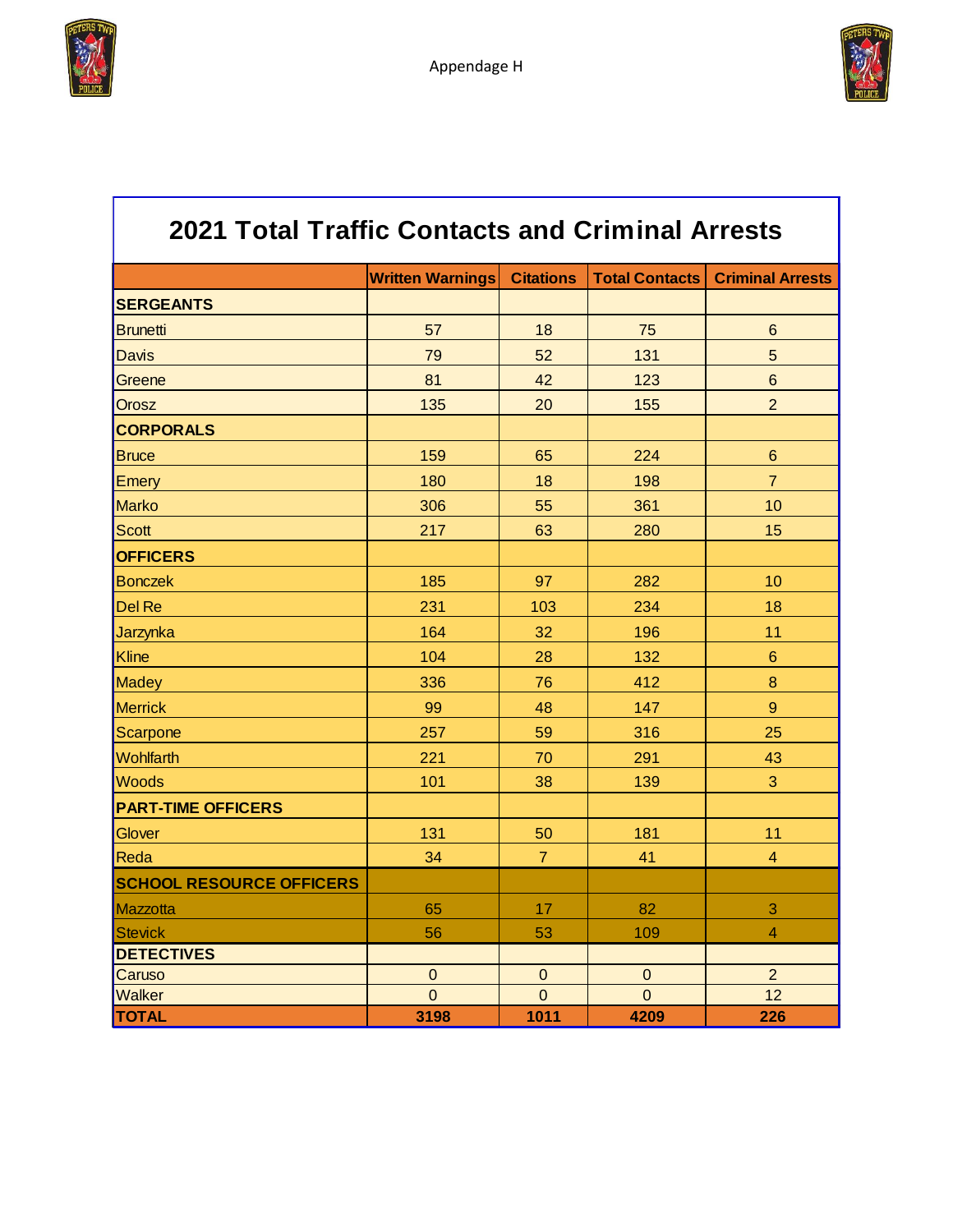



as needed. The information is only reviewed or analyzed in relation to a specific investigative need. Multiple cases during 2021, benefitted from the Intersection Cameras. In each case, the data captured by the cameras led to the identification of a suspect and ultimately an arrest and clearance of the case.

 The PTPD website continues to enable the public to find information related to Police notifications and public safety. Such notices include current Scam/Identity Theft incidents as well as information on how to avoid becoming a victim. In addition, we will include current information and photographs of approved solicitors in the Township that may be going door-to-door. Moving forward in 2022 we intend to initiate a "No Knock List" which will allow the public to sign up and be placed on a list precluding solicitors from knocking on their door. Lastly, we continue to utilize the "Exchange Zone" which is under constant video surveillance and is intended to provide a monitored location for completing exchanges of property bought and sold during online purchases. In addition, the Exchange Zone is frequently used for the transfer of children in contested custody situations.

 In addition, in 2017 the website was leveraged to launch a **Community Crime Mapping** application that enables the public to view the locations and types of crimes reported to the Department. This application is linked with our Records Management System (RMS) and displays information in real time. The Community Crime Mapping application can be found at the following link [https://communitycrimemap.com/?address=peterstownship%2Cpa.](https://communitycrimemap.com/?address=peterstownship%2Cpa) This application has two additional functions that have proven valuable. The first allows for the user to submit tips directly to the Department. The user may choose to provide their name or leave the tip anonymously. Secondly, the application allows users to set up an alert notice based upon a defined radius from a specified location/address (e.g. their home). The alert then notifies the user by email when a new crime is committed within the defined radius.

 Next, the Department **Facebook** page can be found at [https://www.facebook.com/PetersTownshipPolice,](https://www.facebook.com/PetersTownshipPolice/) and is being used to provide more immediate notifications and information in instances of shorter term, immediate need-to-know situations. This includes on-going crimes, fraud schemes, traffic safety issues, and vehicle break-in type crimes. Moreover, in 2021 we worked harder at leveraging the power of social media to help us solve crimes. The Facebook page offers the public an opportunity to make inquiries of the Department they might not have otherwise made. Using the Facebook page and social media platform has given the public a "direct-messaging" ability that did not previously exist. Managed correctly we can use this platform to make the Department more efficient and the Township a safer place to live and work. This is also an excellent place to leverage the skillset and knowledge of some of our younger officers who have a better understanding of the benefits of social media.

 Finally, 2021 was the second full year our department was equipped with the technology to extract and process cell phone data. With cooperation and funding assistance from HIDTA (High Intensity Drug Trafficking Areas program of the DEA) and the Washington County District Attorney's Office, PTPD is now the only municipal agency with a Graykey device used in this process. With the acquisition of the Graykey device and other investigative tools combined with a defined skillset of Detective Caruso, the PTPD Investigative unit has clearly established themselves as a leader among Washington County law enforcement agencies. In 2021, 229 cell phones and similar devices were processed by the PTPD Investigative unit for investigative purposes. This is almost double the number of devices processed in 2020. As a result, this new tool has benefited Peters Township as well as all other Washington County law enforcement agencies. The expansive use and success of this tool has also prompted additional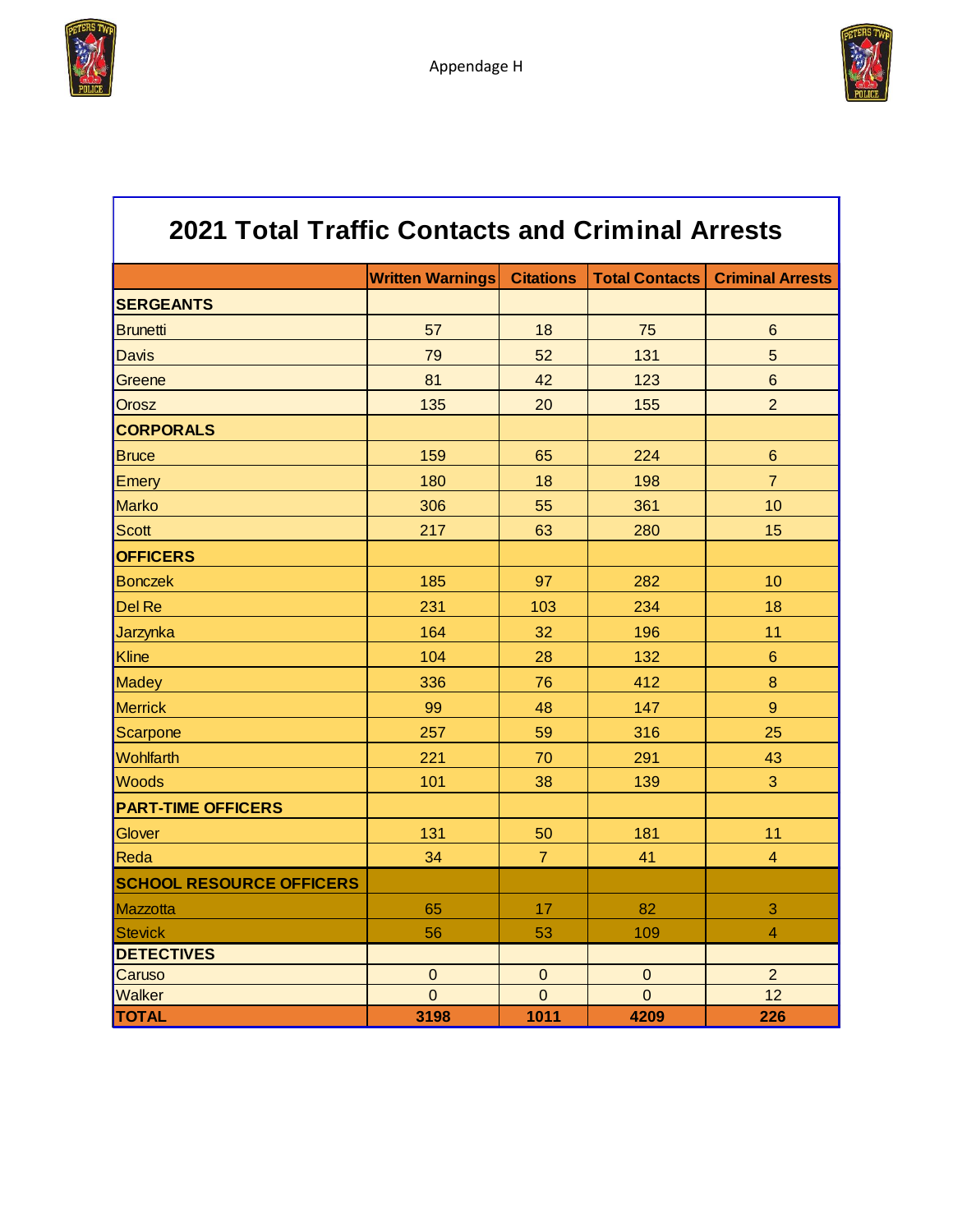



funding from HIDTA. A dedicated desktop computer and additional Graykey devices were purchased with these funds at no cost to the Township.

## **POLICE PATROL**

The PTPD Patrol Section consists of 22 officers, four (4) sergeants, four Corporals, and 14 patrolmen. They responded to 6,059 calls for service (**Appendage A**) in 2021. This equates to an average of 505 calls for service each month. In addition to the calls for service, patrols are tasked with a sundry of other duties to include vacation checks, park checks, targeted traffic enforcement, business checks, church walk throughs and school checks. The Patrol Section issued 1,011 citations, and 3,198 written warnings for a total of 4,209 traffic contacts for 2021 **(Appendage H)**. Analysis of the reportable crashes reveals a slight increase from 2020, (**Appendage F**). In 2021 we continued to see COVID restrictions and business process changes which ultimately impacted the patrol officers contacts with the public. Overall, between Patrol Officers and Detectives, the Department made 223 misdemeanor/felony arrests to include 42 DUI arrests (**Appendage C**) in 2021. There was one (1) fatal crash in 2021 and 127 reportable crashes including nine (9) that were DUI related (**Appendage F**). The statistical change over 2020 in this category is insignificant.

In 2021, our use of the bikes for patrol on the trail was somewhat limited again due to COVID restrictions and business process changes. Community Day was cancelled as was several other events that would normally lend themselves to the use of the E-Bikes on patrol. We continued to use the Ebikes for patrol during concerts in the park and during various sporting events in the park. Additionally, we used the E-Bikes in various developments for investigative purposes as well as in our business district. The Bicycle Patrol Unit (BPU) has proven to be a very effective enforcement tool and deterrent to criminal activity while providing our residents with an approachable, visible representative of the Peters Township Police Department. Moreover, the BPU continues to help bolster the Community Policing efforts of the Department. The continued goal of the BPU is to reduce crime and increase contact with the public. Currently, the BPU has six (6) trained officers all of whom received their training through the International Police Mountain Bike Association.

The use of our 2017 Suzuki V-Strom 650 motorcycle for patrol was also limited in 2021. The motorcycle is generally used for traffic enforcement initiatives and patrol of our parks and neighborhoods during the summer months. The motorcycle has created a unique opportunity for our Motors Officer to connect with kids of all ages and help bolster the Community Policing efforts of the Department.

### **SCHOOL RESOURCE OFFICER**

The School Resource Officer (SRO) program was initiated at the beginning of the 2013 school year as a cooperative effort between the Township and School District to enhance policing primarily at the high school level. The positive effects of this program have now extended to all schools within the district. Officer James Stevick is currently assigned to the position of High School SRO and Officer Patrick Mazzotta is assigned to the Middle School. In our efforts to maintain a safe and secure environment for our schools, we continue to work closely with the District to build upon safety initiatives and develop progressive plans to assess and improve school safety.

An analysis of police records in most areas indicate an increase in the number of police-related incidents in public schools. This, combined with a review of the buildings, grounds and number of students, generally supports the need for additional SROs to adequately provide security for our schools.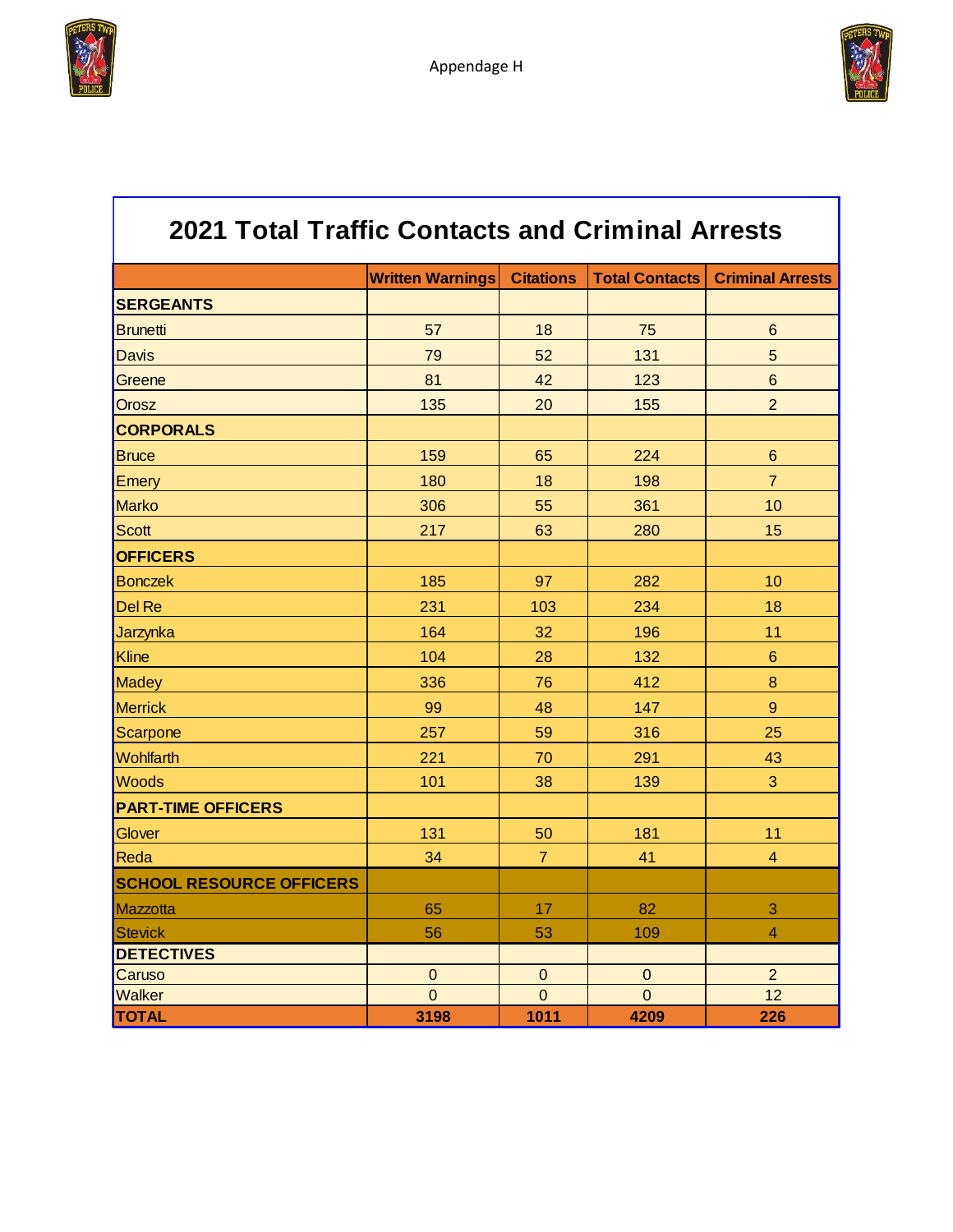



Further analysis suggests the structure and assignment of the personnel should include full-time SRO's in our schools. In this structure, full-time SRO positions provide:

- Law enforcement and investigative services
- Development of crime prevention programs
- Train school personnel
- Mentor students
- Conflict resolution
- Positive role model

In addition, SRO duties include facilitating Drug and Alcohol Awareness programs, Drivers Education, Social Media responsibility, DARE, and teacher support for Law and Justice classes. Each of these programs and responsibilities are critically important to the growth, development, safety and well-being of our students and faculty.

# **DEER MANAGEMENT PROGRAM**

This is the 16<sup>th</sup> year of the Peters Township Deer Management Program. The program was initially developed to utilize managed archery hunting to reduce deer-related vehicle accidents while also limiting conflicts between deer and the community. The managed archery program requires prospective archers to complete background checks as well as educational classes and skill proficiency testing. There are currently 28 archers in the program. The Peters Township Police Department is tasked with creating, inspecting, and enforcing program criteria including selection, training, and approval of the archers.

Since the program's inception there have been no reported injuries or damage to property. Additionally, there have been no complaints related to the conduct or safety of program archers during the 2021-2022 program.

An analysis of the 2021-2022 season of the Peters Township Deer Management Program reveals the following:

- 18 of 28 program hunters were successful in harvesting deer
- 45 deer were harvested within the designated hunting areas (Note: Hunting season not yet over at the time of this report)
- Over 400 pounds of venison was donated to local families in need through the Hunters Sharing the Harvest program.
- 94 deer-related vehicle accidents were reported in 2021 which is a slight increase from the previous year (91)
- 17 deer reported injured on roadways not located by officers
- 3 deer reported dead or injured by coyotes
- 3 deer reported to police as a contributing factor to a crash, but no evidence found at the scene
- 2 deer released from fenced yards
- 2 deer were reported caught on residential fences resulting in 1 being dispatched by officers
	- 35 + deer were taken by a local farmer. Confirmed by WCO Sitler.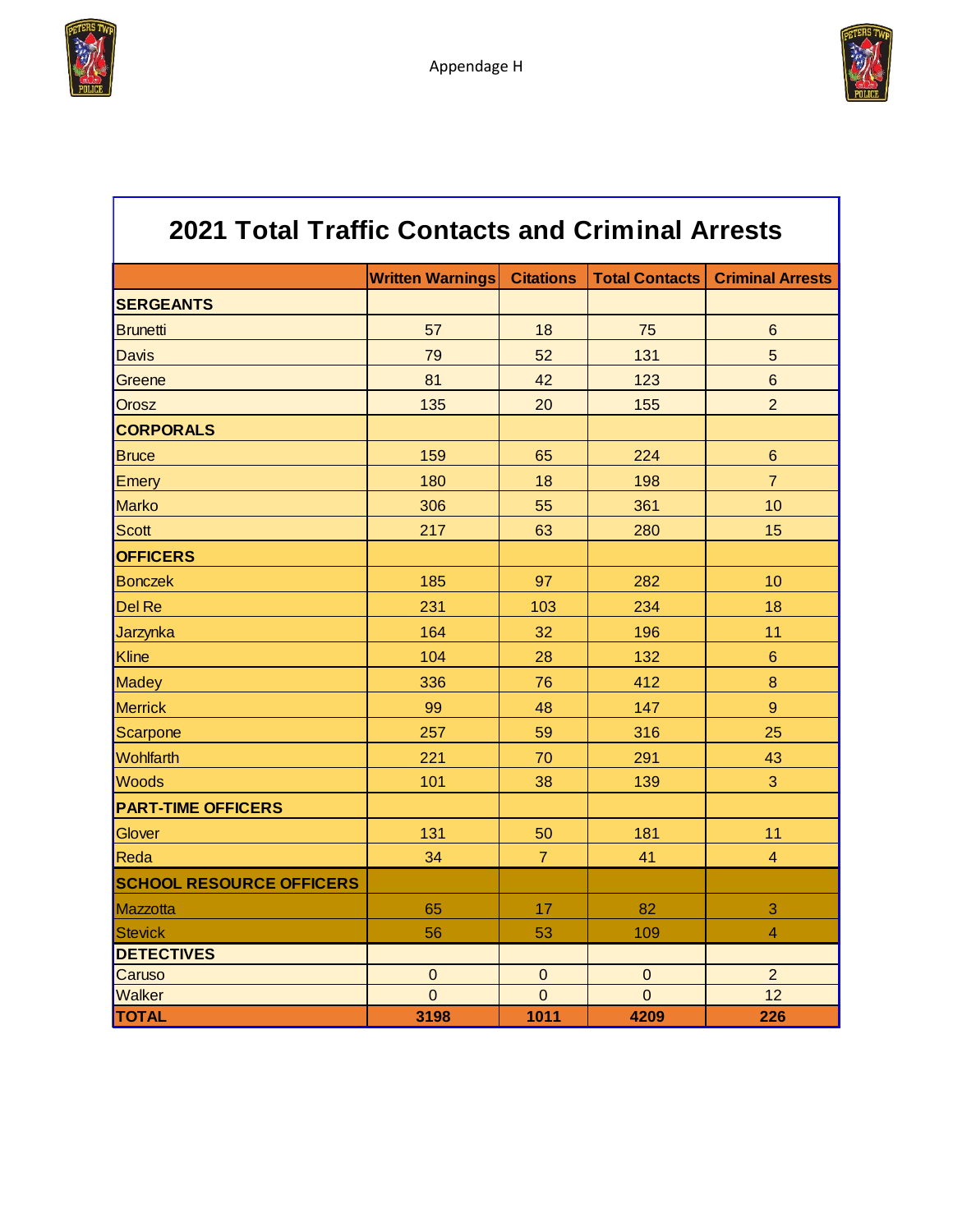



In response to increasing deer-related vehicle accidents, the Peters Township Council and the Pennsylvania Game Commission authorized the expansion of the Peters Township Deer Management Program to include sharpshooting. The Sharpshooting program will begin February 1, 2022 and occur thru September of 2022. Sharpshooting will be conducted by two members of the Peters Township Police Department who are certified though the Pennsylvania Game Commission to perform such duties.

The Peters Township Deer Management Program was developed as an effort to cull the deer population at minimal expense to the community. As such, the program has shown continued success in removing deer from hunted areas. Additionally, the program has provided volunteer archers with an opportunity to spend time afield with friends and family. Municipal staff and the Peters Township Police Department continue their dedication and hard work to ensure safety, promote environmental stewardship, and provide a fiscally sustainable deer management program for the residents of Peters Township

# **D.A.R.E. PROGRAM**

Launched in 1983, **D.A.R.E**. is a comprehensive K-12 education program taught in thousands of schools in America and 52 other countries. D.A.R.E. curricula address drugs, violence, bullying, internet safety, and other high-risk circumstances that today are too often a part of students' lives. [D.A.R.E. America, (2017, January 24). Retrieved from [http://www.dare.com.](http://www.dare.com/)] The D.A.R.E program has been taught in the Peters Township School District since 1989.

**Visitation lessons** are used with grades 1, 2, and 3. These lessons include information on being safe at home, in schools, and in the community. The lessons help students develop confidence to make the right choices by providing them with information and skills they can use to face challenging situations. Some lessons start the talk about dealing with peer pressure and how to handle it. In one lesson, we discuss how drugs can help or harm them. There is also a lesson regarding how to deal with anger in appropriate ways, which in today's environment, is needed more than ever.

For the 2021-2022 school year, the total number of students taking part in the program were as follows:

### **Pleasant Valley School Bower Hill School**

| $1st$ grade | 140 | $1st$ grade | 169 |
|-------------|-----|-------------|-----|
| $2nd$ grade | 105 | $2nd$ grade | 163 |
| $3rd$ grade | 133 | $3rd$ grade | 191 |

#### **McMurray Elementary School**

5<sup>th</sup> grade 302 students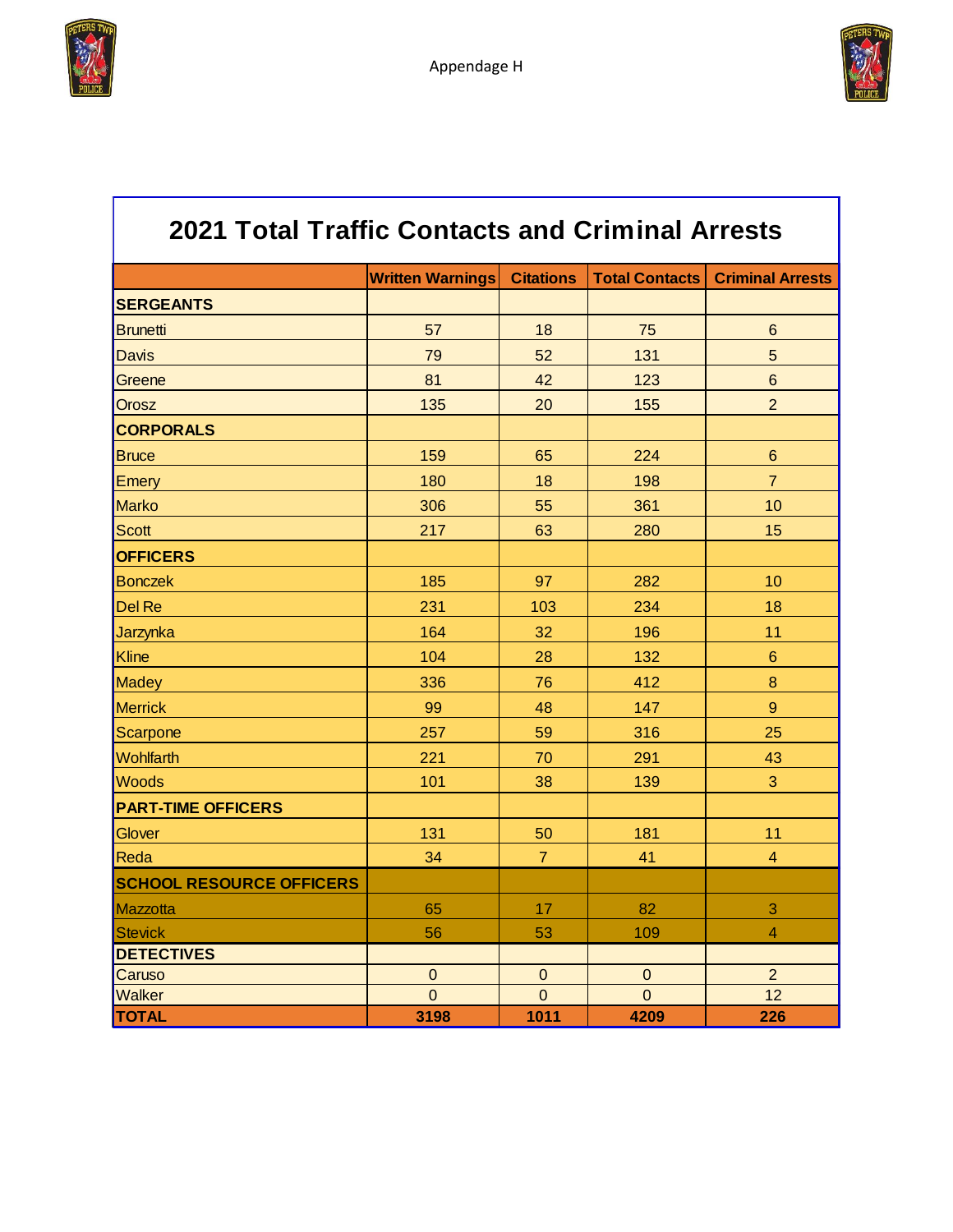



The fifth-grade lessons presented to each classroom are designed to prevent drug use. This is done by developing basic or core skills needed for safe and responsible choices. These skills extend beyond drugs to health and mature choices in life.

The curriculum is based on the Socio-Emotional Learning Theory and identifies fundamental, basic skills and developmental processes needed for healthy development. These include, self-awareness and management, responsible decision making, understanding others, relationship and communication skills and handling responsibilities and challenges. There are ten (10) lessons including the graduations.

In the fifth-grade program, all students must write an essay about what they have learned during the program. The best essay is chosen from each class and that student who wrote the essay is awarded a D.A.R.E Lion. A second student is chosen as the Good Citizen winner in each class. This goes to the student who best participates in the lessons and are helpful to others in the school. They do what is asked the first time and follow the rules of the school. **Peters Township Middle School**

Two (2) lessons were presented to 55 seventh grade students at the Peters Township Middle School during health classes:

The lesson is about alcohol and the way it effects the brain, body, and central nervous system. An example shows how reaction time changes with alcohol present in the body. The rest of the class time is spent having the students' doing activities with the Fatal Vision Goggles. They get the opportunity to experience impairment, while the brain is fully functioning.

### **Peters Township High School**

*Survival 101*: "A Student's Guide to Staying Alive: is a police-driven curriculum designed to encourage appropriate decision making among high school students. Developed by the Pennsylvania Department of Transportation's Buckle Up PA Project. This class is presented to the Driver's Theory class twice throughout the school year. The Driver's Theory class is made up of mostly sophomores and juniors. The two lessons were presented to 240 students.

# **PUBLIC RELATIONS**

In addition to the routine daily, positive interactions with the community, the PTPD conducted or participated in the following events:

- Police Station Tours (3)
- Township Events (10)
- School District Events (2)
- Parades (3)
- Meet and Greet sessions (show police car, meet with children, etc.) (6)
- Survival 101 sessions approximately 240 high school students received lessons regarding alcohol prevention and highway safety (2)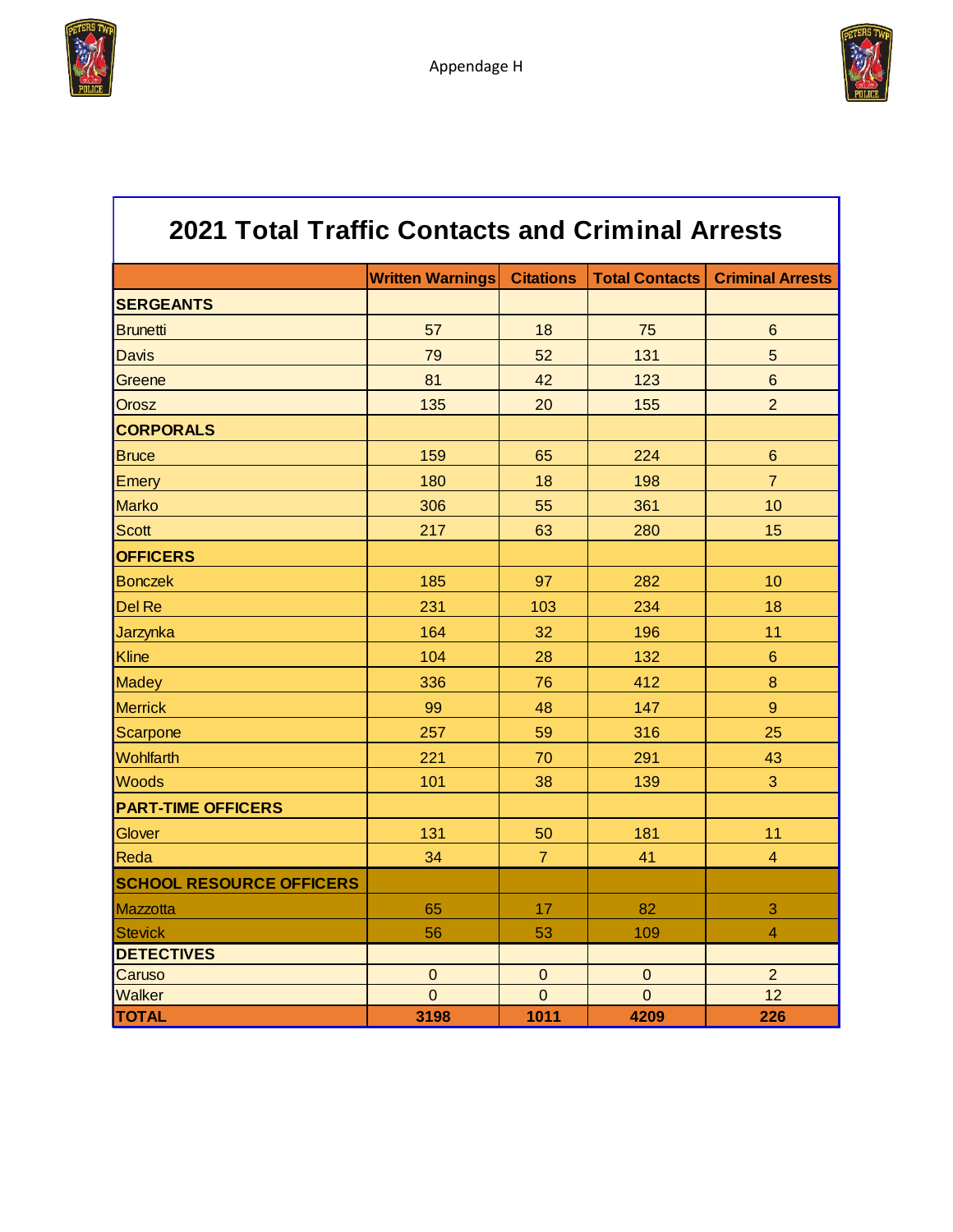



• Church Liaison Program

In 2018, the PTPD began a new initiative called the **Church Liaison Program.** Each church was assigned a dedicated liaison officer as a single point of contact. Due to COVID-19 restrictions in 2021, there were no additional steps added to the program.

**January – December 2021- Church Walk Through District 1 –** 50 incident reports were generated for the weekly walk through (multiple churches are being checked on each incident number).

**January – December 2021 – Church Walk Through District 2 –** 49 incident reports were generated for the weekly walk through (multiple churches are being checked on each incident number).

**September-December 2021**- 26 incident reports were generated involving church liaison activity ranging from meeting with church elders, church safety, and public relations type activity. This particular statistic titled; "Church Liaison Program" has been documented by patrol since September of 2021. The monthly contact for each church can be completed in person, by phone, or by email.

**December 2021**- In house departmental training on police response to critical incidents and active shooter. Officers practiced maneuvering through buildings and addressed active threats when presented.

Throughout 2021, it appeared that the majority of churches continued to scale back on programs and activities due to COVID-19. Officers reminded each church during their monthly contact about the programs we officer (Child Identikit, safety checks, Youth Group Presentations, etc.)

Chief Grimes made presentations to community organizations and participated in various meetings and events. The following is a partial list of those events/meetings:

- Municipal Police Officers Education and Training Commission (MPOETC) (Commissioner)
- MPOETC Legislative Review Committee for Police Legislation (Committee member)
- MPOETC Rules and Regs Committee (Chairperson)
- Western PA Chiefs' Executive Board and General Meetings (2<sup>nd</sup> Vice President 2021)
- Washington County Chiefs' meetings (Member)
- FBI Joint Terrorism Task Force meetings (Member)
- First Responder/Public Safety Communication Committee meetings (Washington County)
- South Hills Areas Council of Governments (SHACOG) Meetings
- Chiefs' training for Use of Force and Administrative Responsibilities in Use of Force Incidents
- Presented to the Rotary Club
- Aggressive Driving Coordination meeting
- Mock Crash Meeting with Peters Township High School Officials
- Citizens Police Academy Taught Class re: Megan's Law
- Sun Chevrolet Cancer Awareness Challenge
- Youth Commission Meetings
- Pennsylvania Law Enforcement Accreditation Commission Member
- Pennsylvania Police Accreditation Coalition Member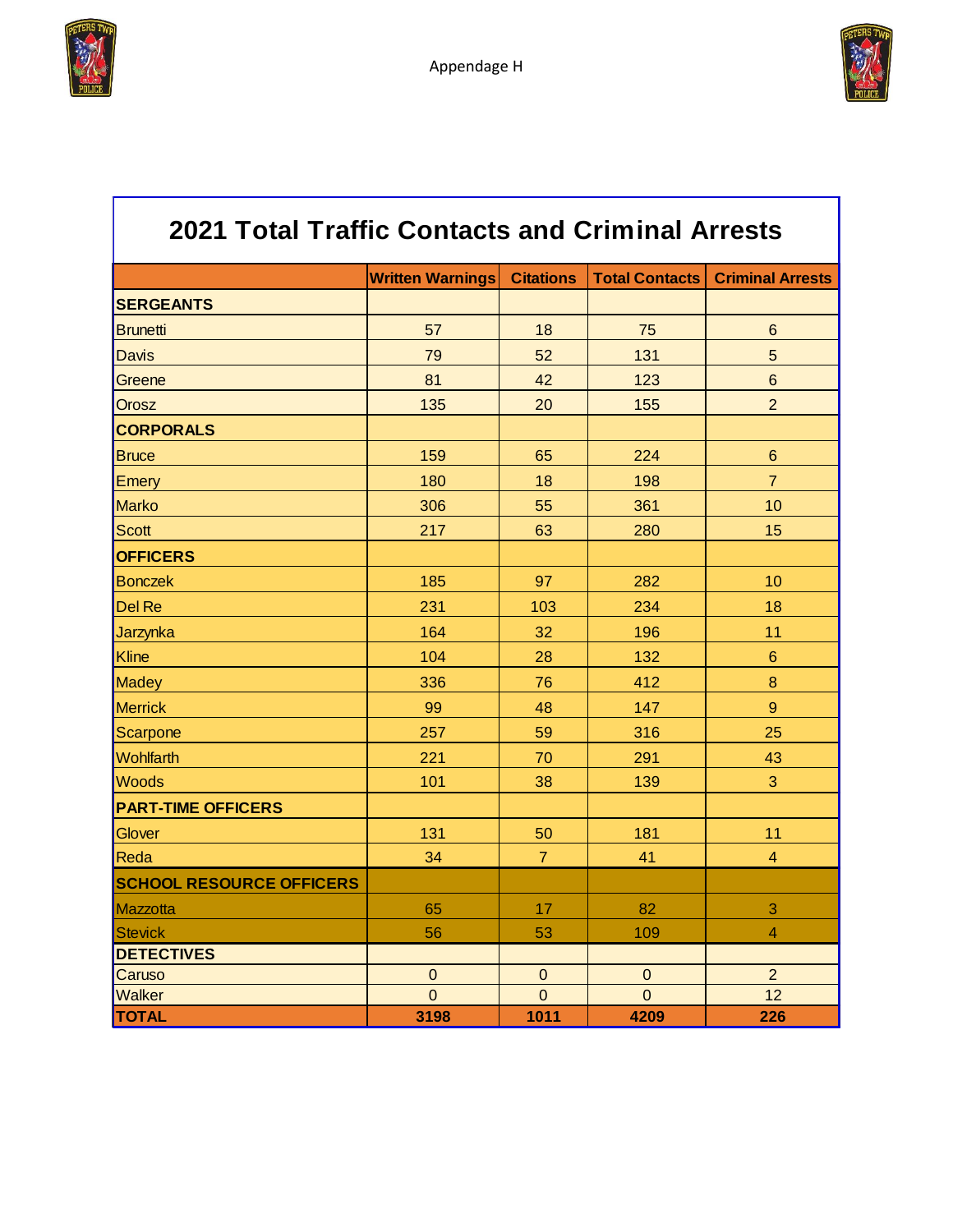



### **CITIZEN'S POLICE ACADEMY**

In the Fall of 2021, the PTPD continued the Citizen's Police Academy started in March of 2020 (forced to postpone due to COVID-19 restrictions). The program is designed to expand the citizen's knowledge and understanding of the law and explore police procedures. Participants are also taught the basics of criminal law with emphasis on the crimes code and vehicle code. The program includes patrol tactics, the processing of crime scenes, interview and interrogation and many other subjects.There were 14 participants in the Fall session.

## **COMMUNITY TRAFFIC SAFETY AWARD**

During the month of November each year, the American Automobile Association (AAA) holds its annual luncheon. The purpose of this event is to honor participating communities for their efforts to improve local traffic safety.

Communities voluntarily participate in this program by submitting Traffic Safety Worksheets that address specific issues. There are 18 general categories of traffic safety issues. For example, aggressive driving is a general category. Specific issues addressed in this problem are speeding, tailgating, and road rage.

The program also takes into consideration the traffic safety and education programs sponsored by the Police Department and the Township. These programs include Buckle Up PA (seat belt safety), Halloween safety, Washington County DUI Task Force, Stranger Danger, school crossing guard, and speed awareness.

The awards given are based on the Department's enforcement efforts, a five-year analysis of Department statistics, and the various programs offered. Due to COVID-19 restrictions, there was no luncheon scheduled and there were no awards given in 2021.

# **DRUG TAKE BACK INITIATIVE**

The National Prescription Drug Take Back Day aims to provide a safe, convenient, and responsible means of disposing of prescription drugs, while also educating the public about the potential for abuse of medications. Since the inception of this program, the PTPD has collected approximately 18,179 pounds of unwanted drugs. This is an important program that removes prescription drugs from the cabinets of citizens, thereby preventing the possibility of someone misusing the drugs.

In 2021, two (2) days were Nationally promoted for the Drug Take Back Initiative. In April and October, multiple sites were designated across the Township to collect unneeded or unwanted medication. The PTPD once again lead this initiative by coordinating as the active drop-off site for all area police departments who wished to participate in this program. In 2021, 18 police departments participated in the program. To make this program even more effective, the PTPD maintains a drug drop box in the lobby of the Department for drop offs available Monday – Friday between 8:00AM – 4:00PM.

The collection efforts resulted in the following totals for 2021:

April 2021 31 boxes collected weighing in at 556 lbs.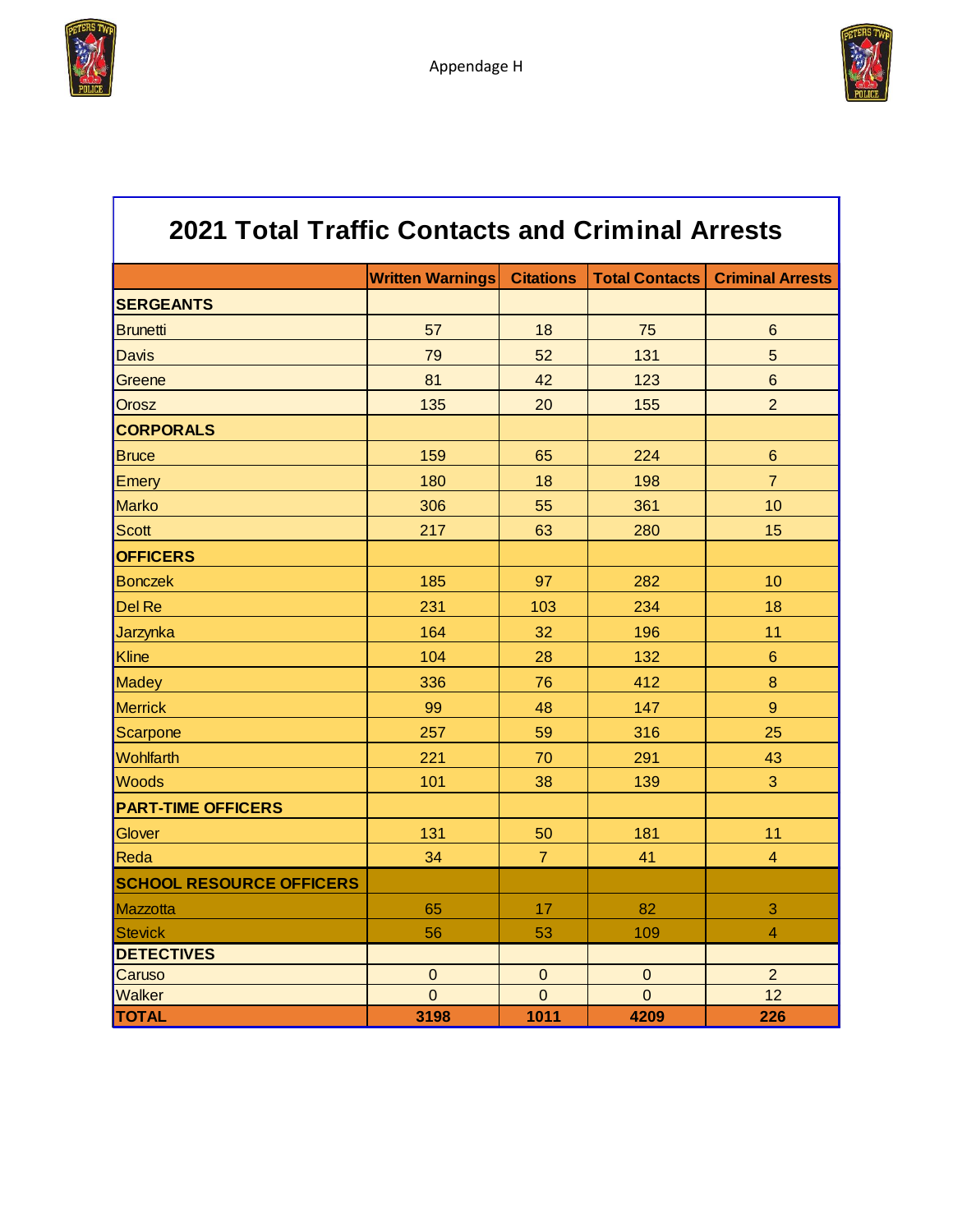



October 2021 14 boxes collected weighing in at 291 lbs.

The National Prescription Drug Take Back program has proven to be a valuable initiative within our community. Although the success of this program cannot be measured in lives saved, it can be identified as a success based upon the sheer volume of unwanted drugs removed from the medicine cabinets of our citizens. For several years now, the total combined weight of the drugs collected has exceeded 1,000 lbs. until 2020. Due to a re-insurgence of the COVID variant in the Fall of 2021 the totals were much less than in previous years. Under any circumstances the results of this program can be viewed as a success.

### **TRAINING AND EDUCATION**

Training is more important today than perhaps ever before in the history of law enforcement. The Act of June 18, 1974, P.L. 359, No.120, as amended, created the Municipal Police Officers' Education and Training Commission (MPOETC) and the requirement that all Municipal Police Officers attend a minimum of 12 hours of in-service/continuing education training each year. To that end, MPOETC develops a three (3) hour course on Legal Updates, which is considered mandatory; however, the remaining nine (9) credit hours may be obtained via various approved MPOETC courses. In 2021, those courses were available via the Pennsylvania Virtual Training Network (on-line), PoliceOne Academy (online), or via an accredited course of instruction as listed on the MPOETC website. This training is necessary to obtain the biannual certification of officers. All Peters Township Police Officers completed their mandatory training in 2021 and were eligible for recertification by MPOETC.

In 2021, we were able to make great strides in training and education. Training and education is critical to the continued success and development of the Peters Township Police Department. In 2021, we utilized five (5) types of training to include: **(1) Leadership Development, (2) Instructor Development, (3) Career Development, (4) In-House, and (5) On-line training.** Utilizing various training methods and sources enabled us to develop a well-trained and qualified police department in the most expeditious and efficient way. The courses attended by our officers varied by training provider, host, and subject matter. In every case, our officers completed each course of instructions as required and obtained the subsequent attendance certificate, full certification, or Instructor certification upon completion. It is significant to note the instructor certification enables our trained officer to instruct and certify other officers during our own in-house training making us even more efficient and effective.

Below is a comprehensive list of the courses attended by our officers and the number of officers who attended each course:

#### **Leadership Training**

FBI-LEEDA Supervisor Leadership Institute-3 FBI-LEEDA Executive Leadership Institute-2

#### **Supervisor Training**

Supervising Patrol Critical Incidents-2

#### **Instructor Development Training**

Defensive Tactics Instructor Course-2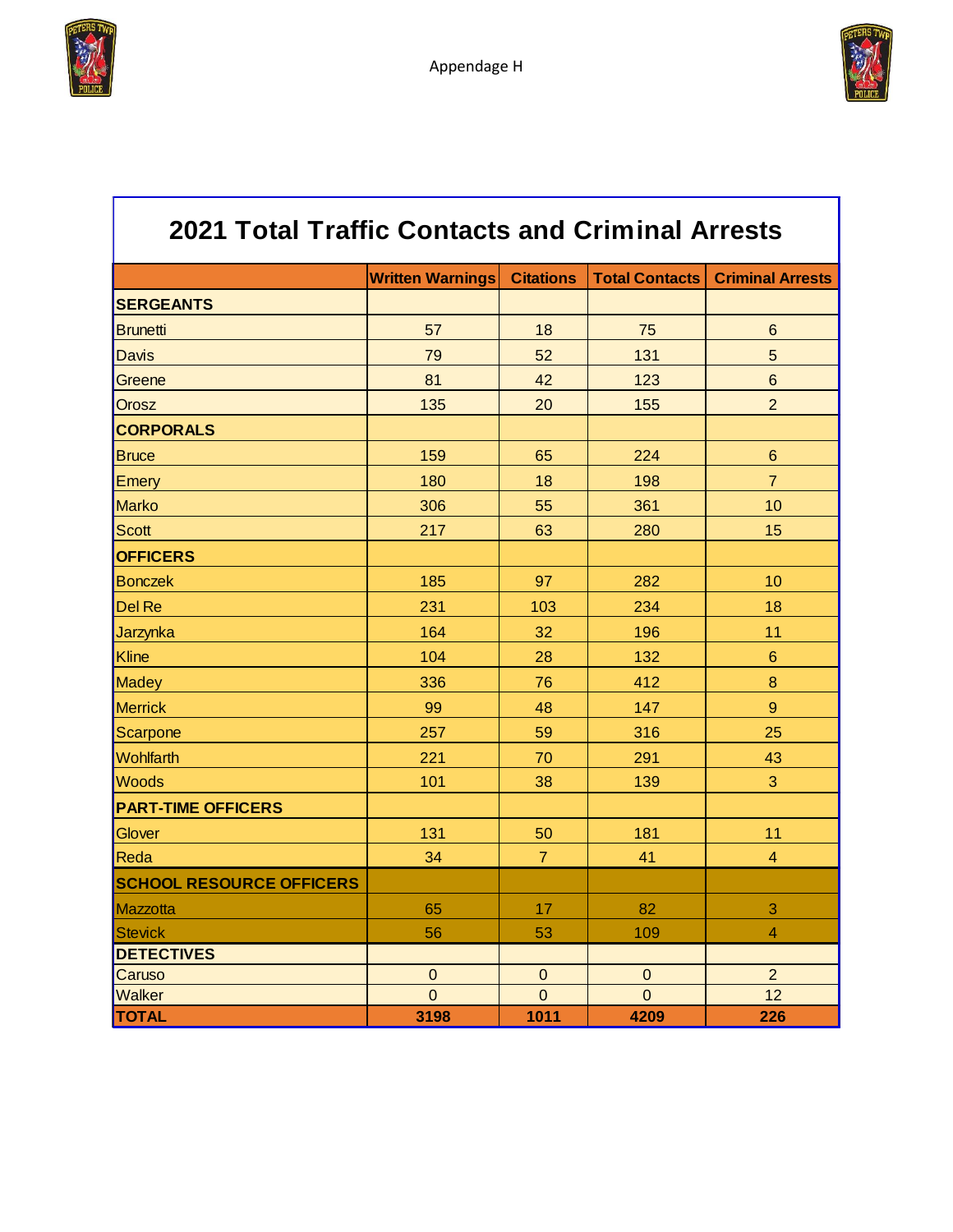



Firearms Instructor Course-1 Optics Enhanced Pistol Instructor Course-1 Physical Fitness Coordinator Recertification-1 Pistol/Shotgun Instructor Course-1 Rescue Task Force Instructor Certification-1 Standardized Field Sobriety Testing (SFST) Instructor Course-1 Taser Instructor Course-3

#### **Career Development**

Advanced Roadside Impaired Driving Enforcement-2 Advanced SWAT Operator-1 Basic Narcotics Investigations Course-1 Basic SWAT Operator-1 Cell Phone/Digital Evidence Search Warrants& Forensics-1 Collision Reconstruction Training-1 Crime Scene Investigations Training-1 Criminal Investigations Training-1 Driver's Training-2 GLOCK Armorer's Course-1 North American Standard Driver/Vehicle Inspection Training (2 Levels and In-service)-1 Mid-Level Narcotics Investigations Course-1 PA CLEAN Local Limited Access-1 PA CLEAN Terminal Agency Coordinator (TAC)-1 Patrol Rifle (AR15) Armorer's Course-1 Police Mountain Bike Annual In-serviceTraining-6 Remington 870 Shotgun Armorer's Course-1 School Resource Officer Training-2 SHACOG Ceremonial Unit Training-1 SHACOG Critical Incident Response Team-1 SHACOG Crash Team Training-1 SHACOG Support Team-4 Standardized Field Sobriety Testing-2 Township Website Design Training-1

**In-house Training** (All officers attended the below mandatory in-house training in 2021.)

#### *1 st Quarter Training*

CPR/First Aid Recertification AED **Narcan** Use of Fire Extinguisher Review

*2 nd Quarter Training* Annual Firearms Qualification Use of Force/Deadly Force Policy Review

*3 rd Quarter Training*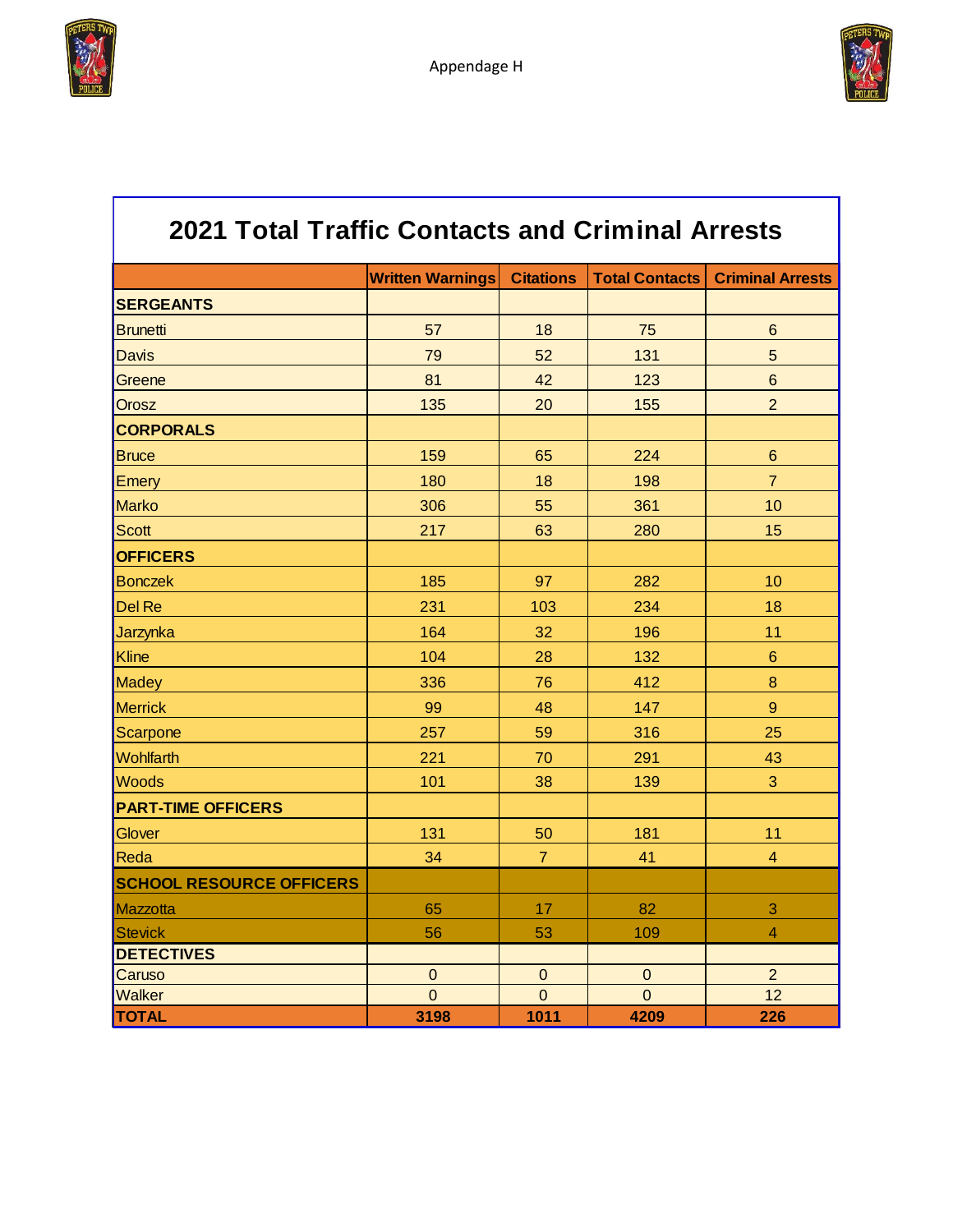



Arrest Tactics Baton/OC Spray/Taser Recertification De-escalation Policy Defensive Tactics Duty to Intervene Policy Empty Hand Control Less Lethal Shotgun Certification Off-Duty Qualifications Practical Application Drills Riot Gear Fittings Taser Policy Use of Force/Deadly Force Policy

*4 th Quarter Training*

Active Assailant Response Decision Making De-escalation Review Isolation Drills Movement Drills Rescue Task Force Review Room-Clearing Drills **Scenarios** Traffic Stop Tactics

#### **On-line training**

Peters Township Police Officers completed a total of 320 hours of training using PoliceOne Academy. These courses include material developed from National best practices to procedural application, to legal issues. Many of the over 200 courses offered by PoliceOne are approved by MPOETC and count towards the mandatory in-service training requirements.

### **INTERNAL INVESTIGATIONS**

The PTPD recognizes the need to thoroughly investigate all Citizen Complaints regarding officer performance and to conduct internal reviews of performance issues such as police pursuits, Department vehicle accidents, and Use of Force incidents. During 2021, the PTPD conducted twenty (20) such investigations. The investigations from 2021 can be broken down into two (2) basic categories as follows:

- Citizen Complaints 9
- Internal Reviews 11

Further analysis of the Internal Investigations in 2021 reveals that of the nine (9) citizen complaints, One (1) was considered sustained with corrective measures taken, two (2) were considered not sustained, Three (3) were considered unfounded, and three (3) resulted in the officers being exonerated. Of the eleven (11) Internal Reviews, seven (7) were considered sustained with corrective measures taken, three (3) were considered not sustained, one (1) resulted in the officer being exonerated.